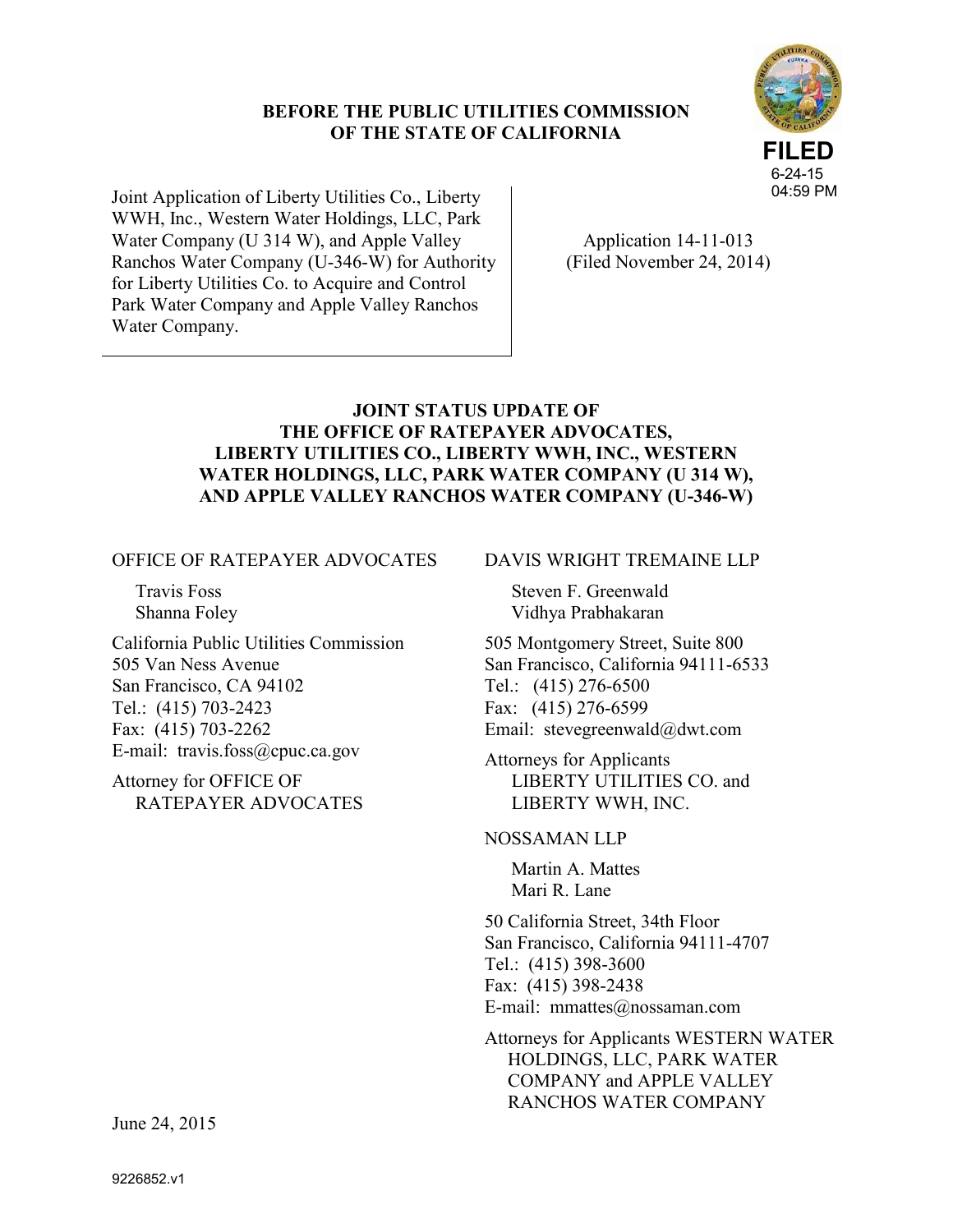### **BEFORE THE PUBLIC UTILITIES COMMISSION OF THE STATE OF CALIFORNIA**



Joint Application of Liberty Utilities Co., Liberty WWH, Inc., Western Water Holdings, LLC, Park Water Company (U 314 W), and Apple Valley Ranchos Water Company (U-346-W) for Authority for Liberty Utilities Co. to Acquire and Control Park Water Company and Apple Valley Ranchos Water Company.

Application 14-11-013 (Filed November 24, 2014)

## **JOINT STATUS UPDATE OF THE OFFICE OF RATEPAYER ADVOCATES, LIBERTY UTILITIES CO., LIBERTY WWH, INC., WESTERN WATER HOLDINGS, LLC, PARK WATER COMPANY (U 314 W), AND APPLE VALLEY RANCHOS WATER COMPANY (U-346-W)**

OFFICE OF RATEPAYER ADVOCATES

Travis Foss Shanna Foley

California Public Utilities Commission 505 Van Ness Avenue San Francisco, CA 94102 Tel.: (415) 703-2423 Fax: (415) 703-2262 E-mail: travis.foss@cpuc.ca.gov

Attorney for OFFICE OF RATEPAYER ADVOCATES DAVIS WRIGHT TREMAINE LLP

Steven F. Greenwald Vidhya Prabhakaran

505 Montgomery Street, Suite 800 San Francisco, California 94111-6533 Tel.: (415) 276-6500 Fax: (415) 276-6599 Email: stevegreenwald@dwt.com

Attorneys for Applicants LIBERTY UTILITIES CO. and LIBERTY WWH, INC.

# NOSSAMAN LLP

Martin A. Mattes Mari R. Lane

50 California Street, 34th Floor San Francisco, California 94111-4707 Tel.: (415) 398-3600 Fax: (415) 398-2438 E-mail: mmattes@nossaman.com

Attorneys for Applicants WESTERN WATER HOLDINGS, LLC, PARK WATER COMPANY and APPLE VALLEY RANCHOS WATER COMPANY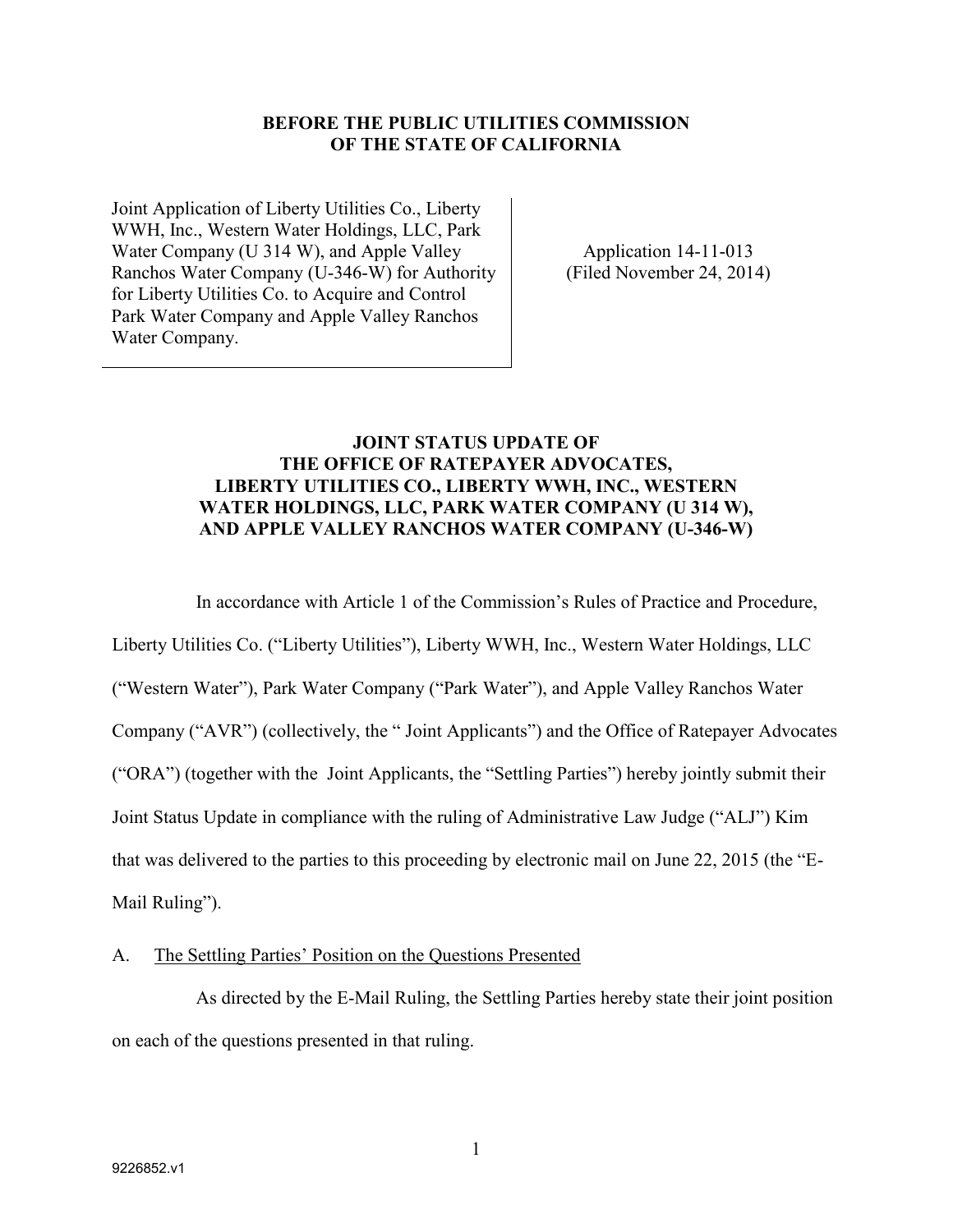### **BEFORE THE PUBLIC UTILITIES COMMISSION OF THE STATE OF CALIFORNIA**

Joint Application of Liberty Utilities Co., Liberty WWH, Inc., Western Water Holdings, LLC, Park Water Company (U 314 W), and Apple Valley Ranchos Water Company (U-346-W) for Authority for Liberty Utilities Co. to Acquire and Control Park Water Company and Apple Valley Ranchos Water Company.

Application 14-11-013 (Filed November 24, 2014)

### **JOINT STATUS UPDATE OF THE OFFICE OF RATEPAYER ADVOCATES, LIBERTY UTILITIES CO., LIBERTY WWH, INC., WESTERN WATER HOLDINGS, LLC, PARK WATER COMPANY (U 314 W), AND APPLE VALLEY RANCHOS WATER COMPANY (U-346-W)**

In accordance with Article 1 of the Commission's Rules of Practice and Procedure,

Liberty Utilities Co. ("Liberty Utilities"), Liberty WWH, Inc., Western Water Holdings, LLC ("Western Water"), Park Water Company ("Park Water"), and Apple Valley Ranchos Water Company ("AVR") (collectively, the " Joint Applicants") and the Office of Ratepayer Advocates ("ORA") (together with the Joint Applicants, the "Settling Parties") hereby jointly submit their Joint Status Update in compliance with the ruling of Administrative Law Judge ("ALJ") Kim that was delivered to the parties to this proceeding by electronic mail on June 22, 2015 (the "E-Mail Ruling").

### A. The Settling Parties' Position on the Questions Presented

As directed by the E-Mail Ruling, the Settling Parties hereby state their joint position on each of the questions presented in that ruling.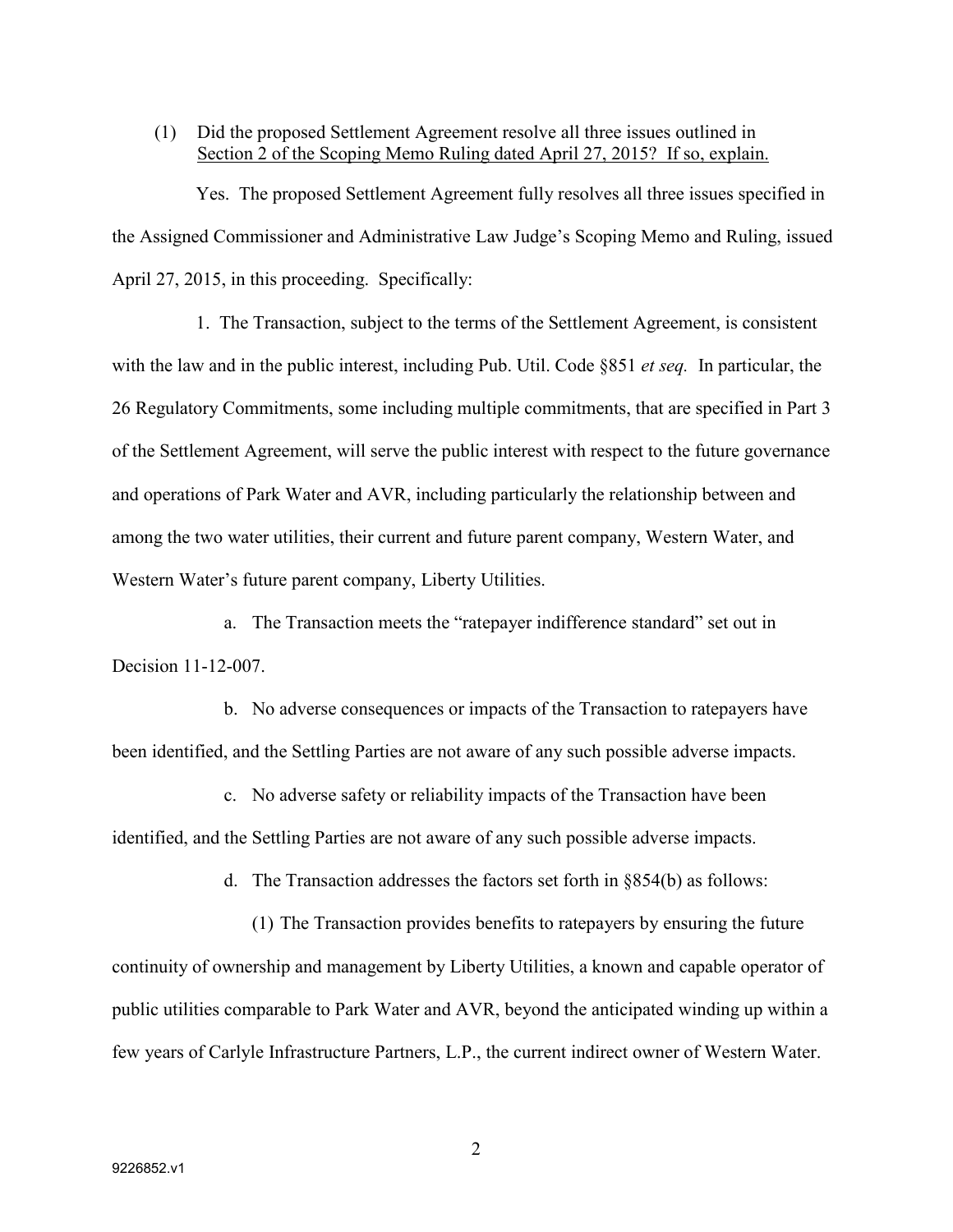### (1) Did the proposed Settlement Agreement resolve all three issues outlined in Section 2 of the Scoping Memo Ruling dated April 27, 2015? If so, explain.

Yes. The proposed Settlement Agreement fully resolves all three issues specified in the Assigned Commissioner and Administrative Law Judge's Scoping Memo and Ruling, issued April 27, 2015, in this proceeding. Specifically:

1. The Transaction, subject to the terms of the Settlement Agreement, is consistent with the law and in the public interest, including Pub. Util. Code §851 *et seq.* In particular, the 26 Regulatory Commitments, some including multiple commitments, that are specified in Part 3 of the Settlement Agreement, will serve the public interest with respect to the future governance and operations of Park Water and AVR, including particularly the relationship between and among the two water utilities, their current and future parent company, Western Water, and Western Water's future parent company, Liberty Utilities.

a. The Transaction meets the "ratepayer indifference standard" set out in Decision 11-12-007.

b. No adverse consequences or impacts of the Transaction to ratepayers have been identified, and the Settling Parties are not aware of any such possible adverse impacts.

c. No adverse safety or reliability impacts of the Transaction have been identified, and the Settling Parties are not aware of any such possible adverse impacts.

d. The Transaction addresses the factors set forth in §854(b) as follows:

(1) The Transaction provides benefits to ratepayers by ensuring the future continuity of ownership and management by Liberty Utilities, a known and capable operator of public utilities comparable to Park Water and AVR, beyond the anticipated winding up within a few years of Carlyle Infrastructure Partners, L.P., the current indirect owner of Western Water.

2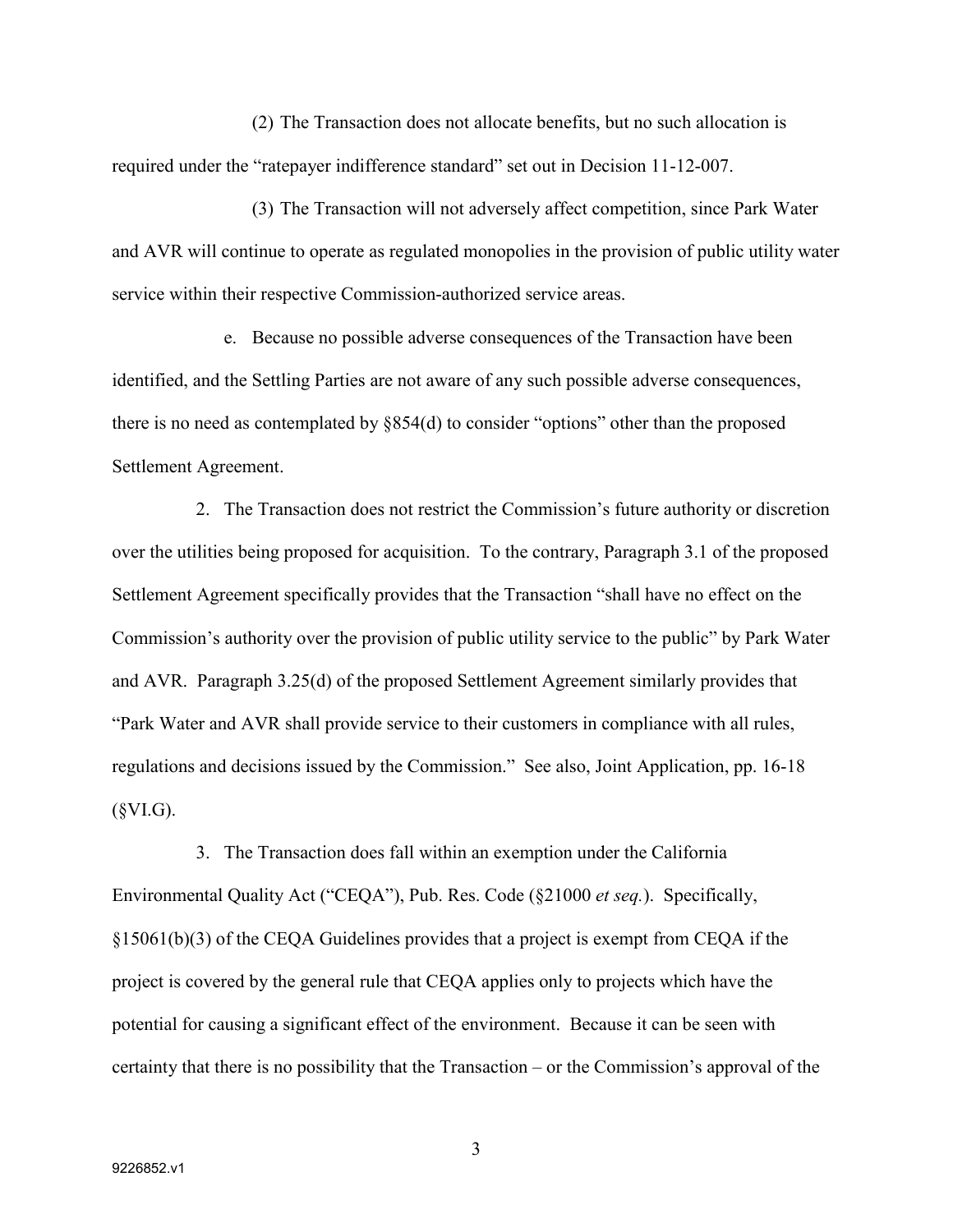(2) The Transaction does not allocate benefits, but no such allocation is required under the "ratepayer indifference standard" set out in Decision 11-12-007.

(3) The Transaction will not adversely affect competition, since Park Water and AVR will continue to operate as regulated monopolies in the provision of public utility water service within their respective Commission-authorized service areas.

e. Because no possible adverse consequences of the Transaction have been identified, and the Settling Parties are not aware of any such possible adverse consequences, there is no need as contemplated by §854(d) to consider "options" other than the proposed Settlement Agreement.

2. The Transaction does not restrict the Commission's future authority or discretion over the utilities being proposed for acquisition. To the contrary, Paragraph 3.1 of the proposed Settlement Agreement specifically provides that the Transaction "shall have no effect on the Commission's authority over the provision of public utility service to the public" by Park Water and AVR. Paragraph 3.25(d) of the proposed Settlement Agreement similarly provides that "Park Water and AVR shall provide service to their customers in compliance with all rules, regulations and decisions issued by the Commission." See also, Joint Application, pp. 16-18  $(SVI.G).$ 

3. The Transaction does fall within an exemption under the California Environmental Quality Act ("CEQA"), Pub. Res. Code (§21000 *et seq.*). Specifically, §15061(b)(3) of the CEQA Guidelines provides that a project is exempt from CEQA if the project is covered by the general rule that CEQA applies only to projects which have the potential for causing a significant effect of the environment. Because it can be seen with certainty that there is no possibility that the Transaction – or the Commission's approval of the

3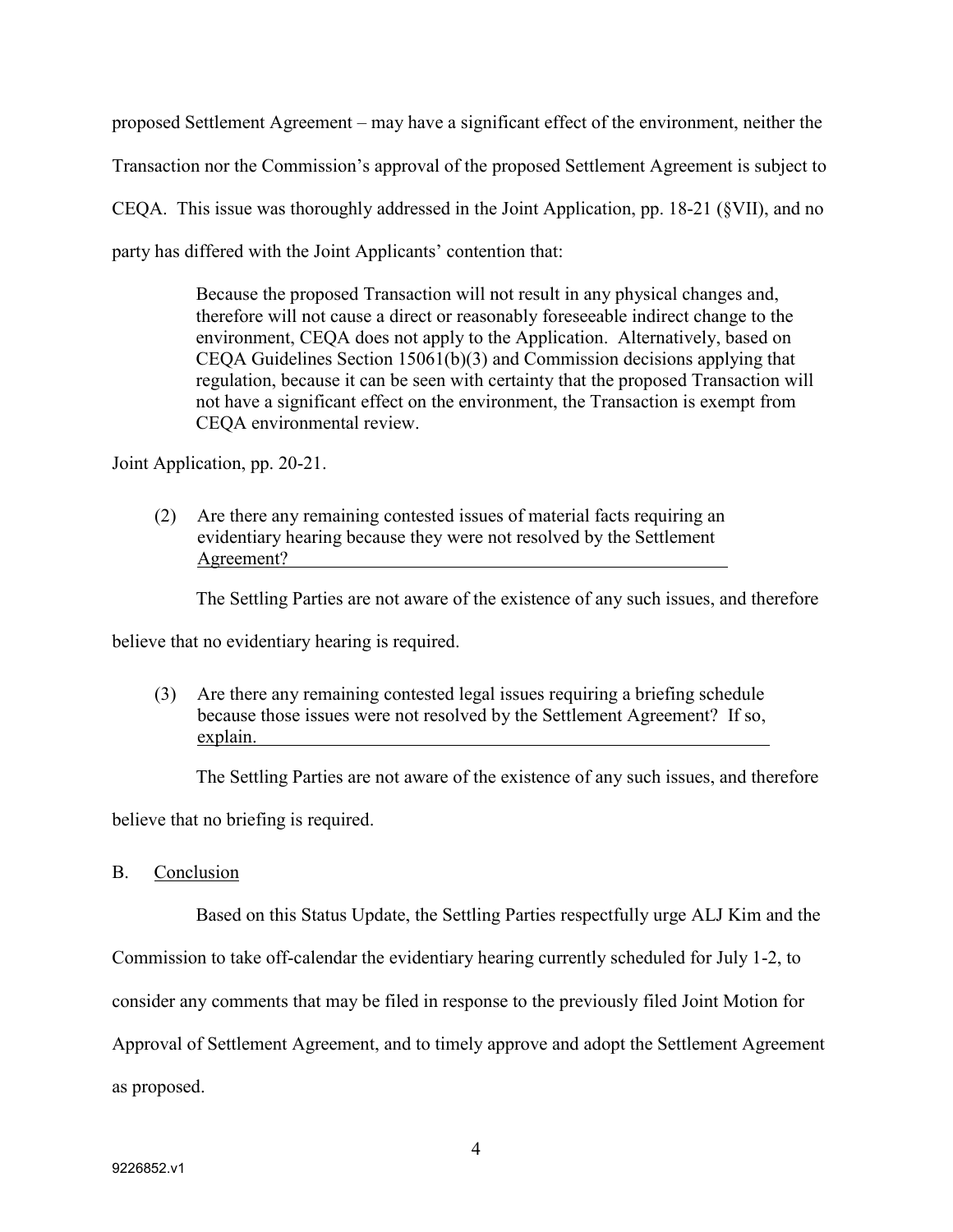proposed Settlement Agreement – may have a significant effect of the environment, neither the

Transaction nor the Commission's approval of the proposed Settlement Agreement is subject to

CEQA. This issue was thoroughly addressed in the Joint Application, pp. 18-21 (§VII), and no

party has differed with the Joint Applicants' contention that:

Because the proposed Transaction will not result in any physical changes and, therefore will not cause a direct or reasonably foreseeable indirect change to the environment, CEQA does not apply to the Application. Alternatively, based on CEQA Guidelines Section 15061(b)(3) and Commission decisions applying that regulation, because it can be seen with certainty that the proposed Transaction will not have a significant effect on the environment, the Transaction is exempt from CEQA environmental review.

Joint Application, pp. 20-21.

(2) Are there any remaining contested issues of material facts requiring an evidentiary hearing because they were not resolved by the Settlement Agreement?

The Settling Parties are not aware of the existence of any such issues, and therefore

believe that no evidentiary hearing is required.

(3) Are there any remaining contested legal issues requiring a briefing schedule because those issues were not resolved by the Settlement Agreement? If so, explain.

The Settling Parties are not aware of the existence of any such issues, and therefore

believe that no briefing is required.

B. Conclusion

Based on this Status Update, the Settling Parties respectfully urge ALJ Kim and the

Commission to take off-calendar the evidentiary hearing currently scheduled for July 1-2, to

consider any comments that may be filed in response to the previously filed Joint Motion for

Approval of Settlement Agreement, and to timely approve and adopt the Settlement Agreement

as proposed.